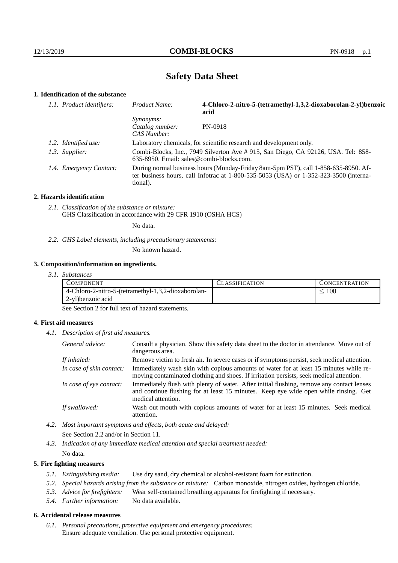# **Safety Data Sheet**

# **1. Identification of the substance**

| 1.1. Product identifiers: | Product Name:                                                                                                                                                                           | 4-Chloro-2-nitro-5-(tetramethyl-1,3,2-dioxaborolan-2-yl)benzoic<br>acid |  |
|---------------------------|-----------------------------------------------------------------------------------------------------------------------------------------------------------------------------------------|-------------------------------------------------------------------------|--|
|                           | Synonyms:<br>Catalog number:<br>CAS Number:                                                                                                                                             | PN-0918                                                                 |  |
| 1.2. Identified use:      | Laboratory chemicals, for scientific research and development only.                                                                                                                     |                                                                         |  |
| 1.3. Supplier:            | Combi-Blocks, Inc., 7949 Silverton Ave # 915, San Diego, CA 92126, USA. Tel: 858-<br>$635-8950$ . Email: sales@combi-blocks.com.                                                        |                                                                         |  |
| 1.4. Emergency Contact:   | During normal business hours (Monday-Friday 8am-5pm PST), call 1-858-635-8950. Af-<br>ter business hours, call Infotrac at 1-800-535-5053 (USA) or 1-352-323-3500 (interna-<br>tional). |                                                                         |  |

#### **2. Hazards identification**

*2.1. Classification of the substance or mixture:* GHS Classification in accordance with 29 CFR 1910 (OSHA HCS)

No data.

*2.2. GHS Label elements, including precautionary statements:*

No known hazard.

#### **3. Composition/information on ingredients.**

*3.1. Substances*

| COMPONENT                                           | LASSIFICATION | CONCENTR ATION |
|-----------------------------------------------------|---------------|----------------|
| 4-Chloro-2-nitro-5-(tetramethyl-1,3,2-dioxaborolan- |               | 100            |
| 2-yl)benzoic acid                                   |               |                |

See Section 2 for full text of hazard statements.

#### **4. First aid measures**

*4.1. Description of first aid measures.*

| General advice:          | Consult a physician. Show this safety data sheet to the doctor in attendance. Move out of<br>dangerous area.                                                                                            |
|--------------------------|---------------------------------------------------------------------------------------------------------------------------------------------------------------------------------------------------------|
| If inhaled:              | Remove victim to fresh air. In severe cases or if symptoms persist, seek medical attention.                                                                                                             |
| In case of skin contact: | Immediately wash skin with copious amounts of water for at least 15 minutes while re-<br>moving contaminated clothing and shoes. If irritation persists, seek medical attention.                        |
| In case of eye contact:  | Immediately flush with plenty of water. After initial flushing, remove any contact lenses<br>and continue flushing for at least 15 minutes. Keep eye wide open while rinsing. Get<br>medical attention. |
| If swallowed:            | Wash out mouth with copious amounts of water for at least 15 minutes. Seek medical<br>attention.                                                                                                        |

*4.2. Most important symptoms and effects, both acute and delayed:* See Section 2.2 and/or in Section 11.

*4.3. Indication of any immediate medical attention and special treatment needed:* No data.

#### **5. Fire fighting measures**

- *5.1. Extinguishing media:* Use dry sand, dry chemical or alcohol-resistant foam for extinction.
- *5.2. Special hazards arising from the substance or mixture:* Carbon monoxide, nitrogen oxides, hydrogen chloride.
- *5.3. Advice for firefighters:* Wear self-contained breathing apparatus for firefighting if necessary.
- *5.4. Further information:* No data available.

### **6. Accidental release measures**

*6.1. Personal precautions, protective equipment and emergency procedures:* Ensure adequate ventilation. Use personal protective equipment.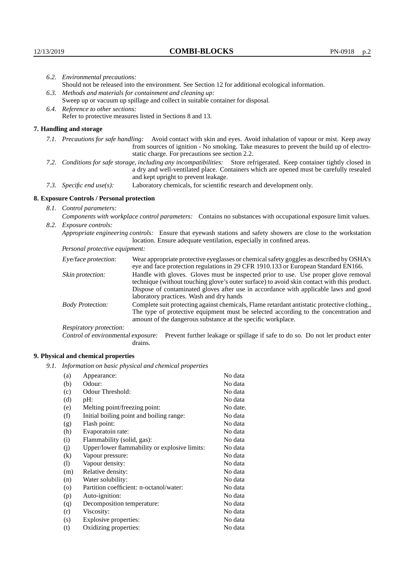|                                                                                                                                                                                                                                                            | 6.2. Environmental precautions:                                                                                                                                                                                                                                    |                                                                                                                                                                                                                                                                            |  |  |
|------------------------------------------------------------------------------------------------------------------------------------------------------------------------------------------------------------------------------------------------------------|--------------------------------------------------------------------------------------------------------------------------------------------------------------------------------------------------------------------------------------------------------------------|----------------------------------------------------------------------------------------------------------------------------------------------------------------------------------------------------------------------------------------------------------------------------|--|--|
|                                                                                                                                                                                                                                                            | Should not be released into the environment. See Section 12 for additional ecological information.                                                                                                                                                                 |                                                                                                                                                                                                                                                                            |  |  |
|                                                                                                                                                                                                                                                            | 6.3. Methods and materials for containment and cleaning up:                                                                                                                                                                                                        |                                                                                                                                                                                                                                                                            |  |  |
|                                                                                                                                                                                                                                                            | Sweep up or vacuum up spillage and collect in suitable container for disposal.                                                                                                                                                                                     |                                                                                                                                                                                                                                                                            |  |  |
|                                                                                                                                                                                                                                                            | 6.4. Reference to other sections:                                                                                                                                                                                                                                  |                                                                                                                                                                                                                                                                            |  |  |
|                                                                                                                                                                                                                                                            |                                                                                                                                                                                                                                                                    | Refer to protective measures listed in Sections 8 and 13.                                                                                                                                                                                                                  |  |  |
|                                                                                                                                                                                                                                                            | 7. Handling and storage                                                                                                                                                                                                                                            |                                                                                                                                                                                                                                                                            |  |  |
|                                                                                                                                                                                                                                                            | 7.1. Precautions for safe handling: Avoid contact with skin and eyes. Avoid inhalation of vapour or mist. Keep away<br>from sources of ignition - No smoking. Take measures to prevent the build up of electro-<br>static charge. For precautions see section 2.2. |                                                                                                                                                                                                                                                                            |  |  |
| 7.2. Conditions for safe storage, including any incompatibilities: Store refrigerated. Keep container tightly closed in<br>a dry and well-ventilated place. Containers which are opened must be carefully resealed<br>and kept upright to prevent leakage. |                                                                                                                                                                                                                                                                    |                                                                                                                                                                                                                                                                            |  |  |
|                                                                                                                                                                                                                                                            | 7.3. Specific end use(s):                                                                                                                                                                                                                                          | Laboratory chemicals, for scientific research and development only.                                                                                                                                                                                                        |  |  |
|                                                                                                                                                                                                                                                            | 8. Exposure Controls / Personal protection                                                                                                                                                                                                                         |                                                                                                                                                                                                                                                                            |  |  |
|                                                                                                                                                                                                                                                            | 8.1. Control parameters:                                                                                                                                                                                                                                           |                                                                                                                                                                                                                                                                            |  |  |
|                                                                                                                                                                                                                                                            | Components with workplace control parameters: Contains no substances with occupational exposure limit values.                                                                                                                                                      |                                                                                                                                                                                                                                                                            |  |  |
|                                                                                                                                                                                                                                                            | 8.2. Exposure controls:                                                                                                                                                                                                                                            |                                                                                                                                                                                                                                                                            |  |  |
|                                                                                                                                                                                                                                                            | Appropriate engineering controls: Ensure that eyewash stations and safety showers are close to the workstation<br>location. Ensure adequate ventilation, especially in confined areas.                                                                             |                                                                                                                                                                                                                                                                            |  |  |
|                                                                                                                                                                                                                                                            | Personal protective equipment:                                                                                                                                                                                                                                     |                                                                                                                                                                                                                                                                            |  |  |
|                                                                                                                                                                                                                                                            | Eye/face protection:                                                                                                                                                                                                                                               | Wear appropriate protective eyeglasses or chemical safety goggles as described by OSHA's<br>eye and face protection regulations in 29 CFR 1910.133 or European Standard EN166.                                                                                             |  |  |
|                                                                                                                                                                                                                                                            | Skin protection:                                                                                                                                                                                                                                                   | Handle with gloves. Gloves must be inspected prior to use. Use proper glove removal<br>technique (without touching glove's outer surface) to avoid skin contact with this product.<br>Dispose of contaminated gloves after use in accordance with applicable laws and good |  |  |

## **8. Exposure Controls / Personal protection**

| Eye/face protection:               | Wear appropriate protective eyeglasses or chemical safety goggles as described by OSHA's<br>eye and face protection regulations in 29 CFR 1910.133 or European Standard EN166.                                                                                                                                         |  |  |
|------------------------------------|------------------------------------------------------------------------------------------------------------------------------------------------------------------------------------------------------------------------------------------------------------------------------------------------------------------------|--|--|
| Skin protection:                   | Handle with gloves. Gloves must be inspected prior to use. Use proper glove removal<br>technique (without touching glove's outer surface) to avoid skin contact with this product.<br>Dispose of contaminated gloves after use in accordance with applicable laws and good<br>laboratory practices. Wash and dry hands |  |  |
| <b>Body Protection:</b>            | Complete suit protecting against chemicals, Flame retardant antistatic protective clothing.,<br>The type of protective equipment must be selected according to the concentration and<br>amount of the dangerous substance at the specific workplace.                                                                   |  |  |
| Respiratory protection:            |                                                                                                                                                                                                                                                                                                                        |  |  |
| Control of environmental exposure: | Prevent further leakage or spillage if safe to do so. Do not let product enter<br>drains.                                                                                                                                                                                                                              |  |  |

# **9. Physical and chemical properties**

*9.1. Information on basic physical and chemical properties*

| (a)                        | Appearance:                                   | No data  |
|----------------------------|-----------------------------------------------|----------|
| (b)                        | Odour:                                        | No data  |
| (c)                        | Odour Threshold:                              | No data  |
| (d)                        | pH:                                           | No data  |
| (e)                        | Melting point/freezing point:                 | No date. |
| (f)                        | Initial boiling point and boiling range:      | No data  |
| (g)                        | Flash point:                                  | No data  |
| (h)                        | Evaporatoin rate:                             | No data  |
| (i)                        | Flammability (solid, gas):                    | No data  |
| (j)                        | Upper/lower flammability or explosive limits: | No data  |
| (k)                        | Vapour pressure:                              | No data  |
| $\left( \mathrm{l}\right)$ | Vapour density:                               | No data  |
| (m)                        | Relative density:                             | No data  |
| (n)                        | Water solubility:                             | No data  |
| $\rm (o)$                  | Partition coefficient: n-octanol/water:       | No data  |
| (p)                        | Auto-ignition:                                | No data  |
| (q)                        | Decomposition temperature:                    | No data  |
| (r)                        | Viscosity:                                    | No data  |
| (s)                        | Explosive properties:                         | No data  |
| (t)                        | Oxidizing properties:                         | No data  |